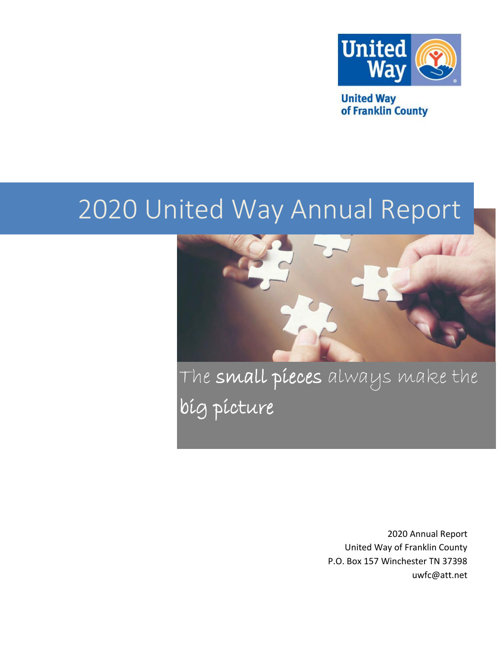

**United Way** of Franklin County

# 2020 United Way Annual Report



The small pieces always make the big picture

> 2020 Annual Report United Way of Franklin County P.O. Box 157 Winchester TN 37398 uwfc@att.net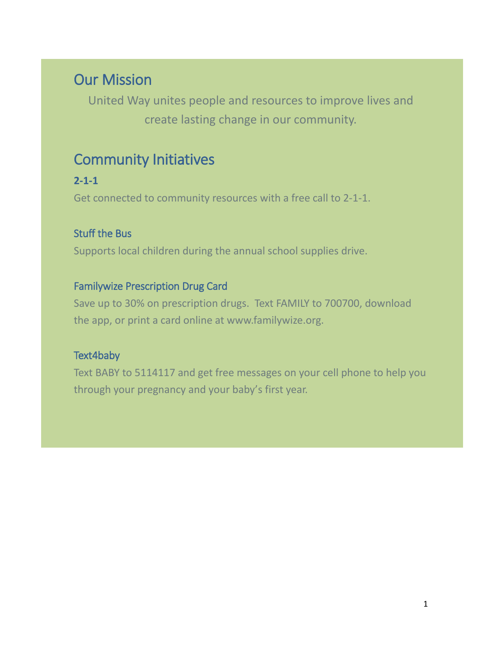# Our Mission

United Way unites people and resources to improve lives and create lasting change in our community.

### Community Initiatives

#### **2-1-1**

Get connected to community resources with a free call to 2-1-1.

#### Stuff the Bus

Supports local children during the annual school supplies drive.

#### Familywize Prescription Drug Card

Save up to 30% on prescription drugs. Text FAMILY to 700700, download the app, or print a card online at [www.familywize.org.](http://www.familywize.org/)

#### Text4baby

Text BABY to 5114117 and get free messages on your cell phone to help you through your pregnancy and your baby's first year.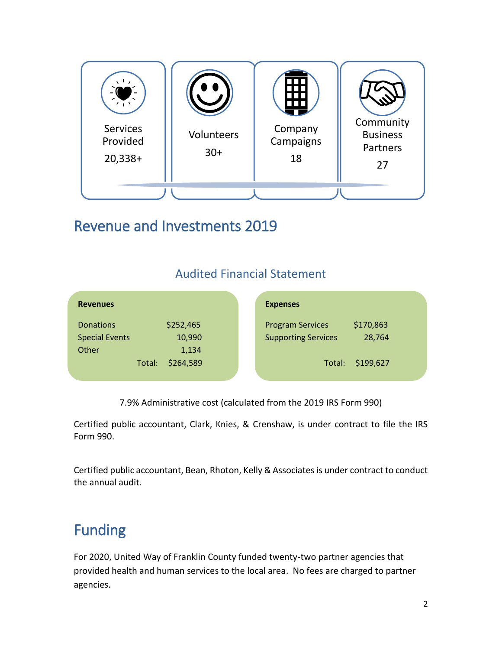

# Revenue and Investments 2019

#### Audited Financial Statement

| <b>Revenues</b>       |        |           | <b>Expenses</b>            |           |  |
|-----------------------|--------|-----------|----------------------------|-----------|--|
| <b>Donations</b>      |        | \$252,465 | <b>Program Services</b>    | \$170,863 |  |
| <b>Special Events</b> |        | 10,990    | <b>Supporting Services</b> | 28,764    |  |
| Other                 |        | 1,134     |                            |           |  |
|                       | Total: | \$264,589 | Total:                     | \$199,627 |  |
|                       |        |           |                            |           |  |

7.9% Administrative cost (calculated from the 2019 IRS Form 990)

Certified public accountant, Clark, Knies, & Crenshaw, is under contract to file the IRS Form 990.

Certified public accountant, Bean, Rhoton, Kelly & Associates is under contract to conduct the annual audit.

# Funding

For 2020, United Way of Franklin County funded twenty-two partner agencies that provided health and human services to the local area. No fees are charged to partner agencies.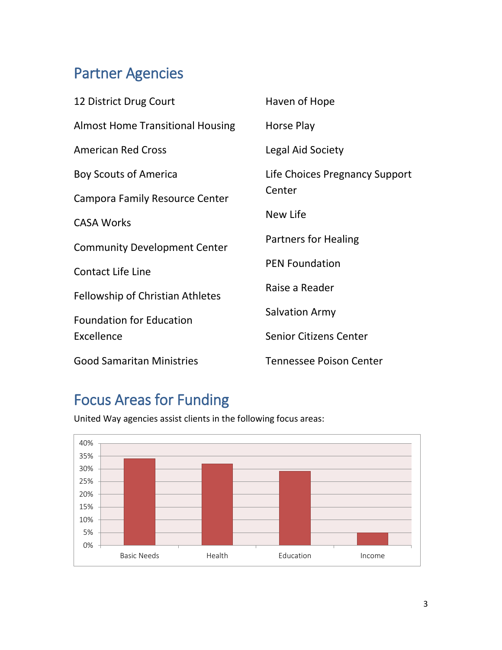# Partner Agencies

| 12 District Drug Court                  | Haven of Hope                            |  |
|-----------------------------------------|------------------------------------------|--|
| <b>Almost Home Transitional Housing</b> | Horse Play                               |  |
| <b>American Red Cross</b>               | Legal Aid Society                        |  |
| <b>Boy Scouts of America</b>            | Life Choices Pregnancy Support<br>Center |  |
| <b>Campora Family Resource Center</b>   |                                          |  |
| <b>CASA Works</b>                       | New Life                                 |  |
| <b>Community Development Center</b>     | <b>Partners for Healing</b>              |  |
| <b>Contact Life Line</b>                | <b>PEN Foundation</b>                    |  |
| <b>Fellowship of Christian Athletes</b> | Raise a Reader                           |  |
| <b>Foundation for Education</b>         | <b>Salvation Army</b>                    |  |
| Excellence                              | <b>Senior Citizens Center</b>            |  |
| <b>Good Samaritan Ministries</b>        | <b>Tennessee Poison Center</b>           |  |

# Focus Areas for Funding

United Way agencies assist clients in the following focus areas:

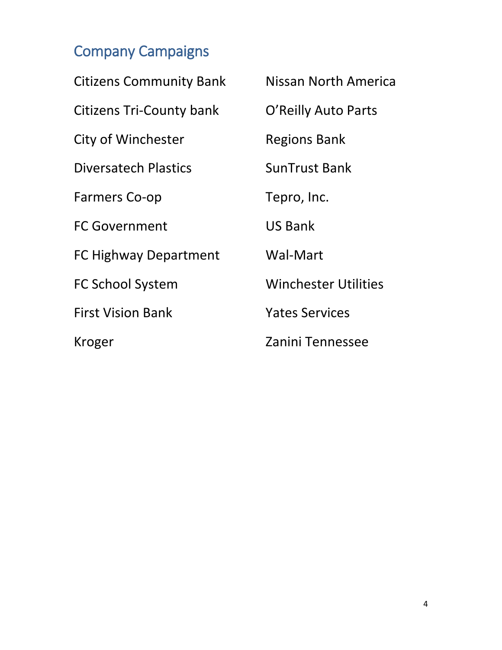# Company Campaigns

| <b>Citizens Community Bank</b>  | Nissan North America        |
|---------------------------------|-----------------------------|
| <b>Citizens Tri-County bank</b> | O'Reilly Auto Parts         |
| City of Winchester              | <b>Regions Bank</b>         |
| <b>Diversatech Plastics</b>     | <b>SunTrust Bank</b>        |
| <b>Farmers Co-op</b>            | Tepro, Inc.                 |
| <b>FC Government</b>            | <b>US Bank</b>              |
| <b>FC Highway Department</b>    | Wal-Mart                    |
| <b>FC School System</b>         | <b>Winchester Utilities</b> |
| <b>First Vision Bank</b>        | <b>Yates Services</b>       |
| Kroger                          | Zanini Tennessee            |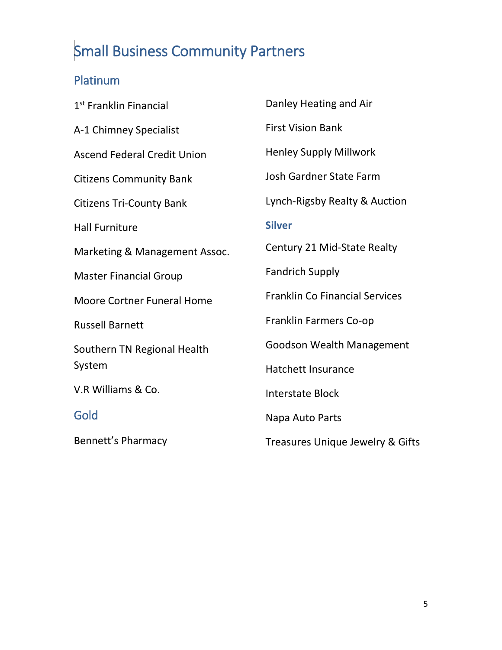# Small Business Community Partners

### Platinum

| 1 <sup>st</sup> Franklin Financial | Danley Heating and Air                |
|------------------------------------|---------------------------------------|
| A-1 Chimney Specialist             | <b>First Vision Bank</b>              |
| <b>Ascend Federal Credit Union</b> | <b>Henley Supply Millwork</b>         |
| <b>Citizens Community Bank</b>     | <b>Josh Gardner State Farm</b>        |
| <b>Citizens Tri-County Bank</b>    | Lynch-Rigsby Realty & Auction         |
| <b>Hall Furniture</b>              | <b>Silver</b>                         |
| Marketing & Management Assoc.      | Century 21 Mid-State Realty           |
| <b>Master Financial Group</b>      | <b>Fandrich Supply</b>                |
| <b>Moore Cortner Funeral Home</b>  | <b>Franklin Co Financial Services</b> |
| <b>Russell Barnett</b>             | Franklin Farmers Co-op                |
| Southern TN Regional Health        | <b>Goodson Wealth Management</b>      |
| System                             | <b>Hatchett Insurance</b>             |
| V.R Williams & Co.                 | <b>Interstate Block</b>               |
| Gold                               | Napa Auto Parts                       |
| <b>Bennett's Pharmacy</b>          | Treasures Unique Jewelry & Gifts      |